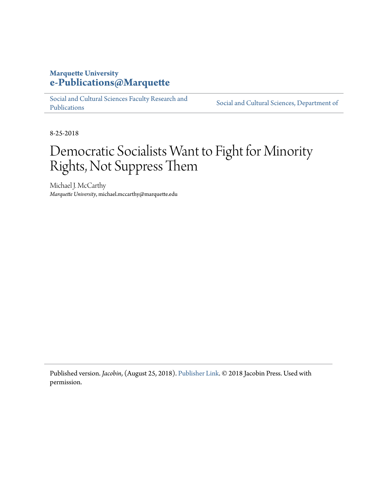## **Marquette University [e-Publications@Marquette](https://epublications.marquette.edu/)**

[Social and Cultural Sciences Faculty Research and](https://epublications.marquette.edu/socs_fac) [Publications](https://epublications.marquette.edu/socs_fac)

[Social and Cultural Sciences, Department of](https://epublications.marquette.edu/socs)

8-25-2018

# Democratic Socialists Want to Fight for Minority Rights, Not Suppress Them

Michael J. McCarthy *Marquette University*, michael.mccarthy@marquette.edu

Published version. *Jacobin*, (August 25, 2018). [Publisher Link.](https://www.jacobinmag.com/2018/08/democratic-socialism-minority-rights-friedersdorf-the-atlantic) © 2018 Jacobin Press. Used with permission.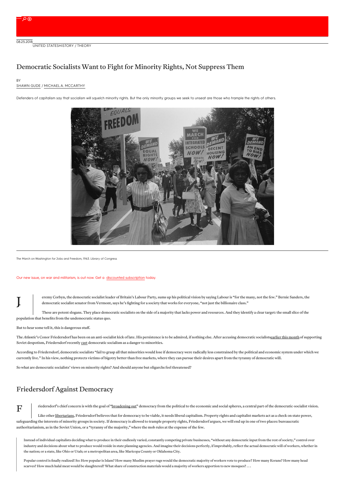**BY** 

### Democratic Socialists Want to Fight for Minority Rights, Not Suppress Them

### [SHAWN](https://www.jacobinmag.com/author/shawn-gude) GUDE / MICHAEL A. [MCCARTHY](https://www.jacobinmag.com/author/michael-a-mccarthy)

Defenders of capitalism say that socialism will squelch minority rights. But the only minority groups we seek to unseat are those who trample the rights of others.



The March on Washington forJobs and Freedom, 1963. Library of Congress

#### Our new issue, on war and militarism, is out now. Get a discounted [subscription](https://jacobinmag.com/subscribe/?code=WARISARACKET) today.

eremy Corbyn, the democratic socialist leader of Britain's Labour Party, sums up his political vision by saying Labour is "for the many, not the few." Bernie Sanders, the democratic socialist senator from Vermont, says he's fighting for a society that works for everyone, "not just the billionaire class."

These are potent slogans. They place democratic socialists on the side of a majority that lacks power and resources. And they identify a clear target: the small slice of the population that benefits from the undemocratic status quo.

But to hear some tell it, this is dangerous stuff.

J

 $\mathbf F$ 

The Atlantic's Conor Friedersdorf has been on an anti-socialist kick of late. His persistence is to be admired, if nothing else. After accusing democratic socialistsearlier this [month](https://www.theatlantic.com/politics/archive/2018/08/on-hunger-for-a-bold-socialism/566531/) of supporting Soviet despotism, Friedersdorf recently [cast](https://www.theatlantic.com/politics/archive/2018/08/a-risk-that-democratic-socialism-poses-to-all-minorities/566528/) democratic socialism as a danger to minorities.

According to Friedersdorf, democratic socialists "fail to grasp all that minorities would lose if democracy were radically less constrained by the political and economic system under which we currently live." In his view, nothing protects victims of bigotry better than free markets, where they can pursue their desires apart from the tyranny of democratic will.

So what are democratic socialists' views on minority rights? And should anyone but oligarchs feel threatened?

### Friedersdorf Against Democracy

riedersdorf's chief concern is with the goal of ["broadening](https://jacobinmag.com/2018/07/democratic-socialism-democracy-ocasio-cortez) out" democracy from the political to the economic and social spheres, a central part of the democratic-socialist vision.

Like other [libertarians](https://www.wiley.com/en-ru/Anarchy+State+and+Utopia-p-9780631197805), Friedersdorf believes that for democracy to be viable, it needs liberal capitalism. Property rights and capitalist markets act as a check on state power, safeguarding the interests of minority groups in society. If democracy is allowed to trample property rights, Friedersdorf argues, we will end up in one of two places: bureaucratic authoritarianism, as in the Soviet Union, or a "tyranny of the majority," where the mob rules at the expense of the few.

Instead of individual capitalists deciding what to produce in their endlessly varied, constantly competing private businesses, "without any democratic input from the rest of society," control over industry and decisions about what to produce would reside in state planning agencies. And imagine their decisions perfectly, if improbably, reflect the actual democratic will of workers, whether in the nation; or a state, like Ohio or Utah; or a metropolitan area, like Maricopa County or Oklahoma City.

Popular control is finally realized! So: How popular is Islam? How many Muslim prayer rugs would the democratic majority of workers vote to produce? How many Korans? How many head scarves? How much halal meat would be slaughtered? What share of construction materials would a majority of workers apportion to new mosques? . . .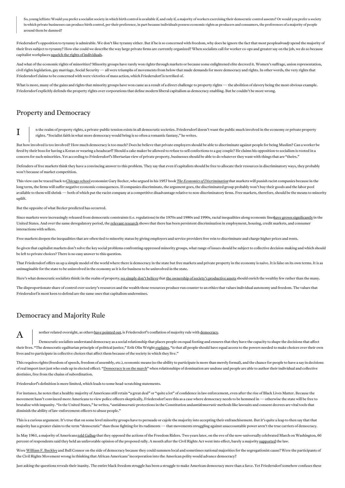So, young leftists: Would you prefer a socialist society in which birth control is available if, and only if, a majority of workers exercising their democratic control assents? Or would you prefer a society in which private businesses can produce birth control, per their preference, in part because individuals possess economic rights as producers and consumers, the preferences of a majority of people around them be damned?

Friedersdorf's opposition to tyranny is admirable. We don't like tyranny either. But if he is so concerned with freedom, why does he ignore the fact that most people*already* spend the majority of their lives subject to tyranny? How else could we describe the way large private firms are currently organized? When socialists call for worker co-ops and greater say on the job, we do so because capitalist workplaces squelch the rights of [individuals](https://www.jacobinmag.com/2017/06/private-government-interview-elizabeth-anderson).

And what of the economic rights of minorities? Minority groups have rarely won rights through markets or because some enlightened elite decreed it. Women's suffrage, union representation, civil rights legislation, gay marriage, Social Security — all were triumphs of movements from below that made demands for more democracy and rights. In other words, the very rights that Friedersdorf claims to be concerned with were victories of mass action, which Friedersdorf is terrified of.

What is more, many of the gains and rights that minority groups have won came as a result of a direct challenge to property rights — the abolition of slavery being the most obvious example. Friedersdorf explicitly defends the property rights over corporations that define modern liberal capitalism as democracy enabling. But he couldn't be more wrong.

### Property and Democracy

I

n the realm of property rights, a private-public tension exists in all democratic societies. Friedersdorf doesn't want the public much involved in the economy or private property rights. "Socialist faith in what more democracy would bring is so often a romantic fantasy," he writes.

But how involved is too involved? How much democracy is too much? Does he believe that private employers should be able to discriminate against people for being Muslim? Can a worker be fired by their boss for having a Koran or wearing a headscarf? Should a cake maker be allowed to refuse to sell confections to a gay couple? He claims his opposition to socialism is rooted in a concern for such minorities. Yet according to Friedersdorf's libertarian view of private property, businesses should be able to do whatever they want with things that are "theirs."

Defenders of free markets think they have a convincing answer to this problem. They say that even if capitalists should be free to allocate their resources in discriminatory ways, they probably won't because of market competition.

This view can be traced back to[Chicago](https://www.britannica.com/topic/Chicago-school-of-economics) school economist Gary Becker, who argued in his 1957 book *The Economics of [Discrimination](https://press.uchicago.edu/ucp/books/book/chicago/E/bo22415931.html)*that markets will punish racist companies because in the long term, the firms will suffer negative economic consequences. If companies discriminate, the argument goes, the discriminated group probably won't buy their goods and the labor pool available to them will shrink—both of which put the racist company at a competitive disadvantage relative to non-discriminatory firms. Free markets, therefore, should be the means to minority uplift.

But the opposite of what Becker predicted has occurred.

Since markets were increasingly released from democratic constraints (i.e. regulations) in the 1970s and 1980s and 1990s, racial inequalities along economic lineshave grown [significantly](https://michaelamccarthydotnet.files.wordpress.com/2012/08/silent-compulsions-capitalist-markets-and-race.pdf) in the United States. And over the same deregulatory period, the relevant [research](https://www.annualreviews.org/doi/pdf/10.1146/annurev.soc.33.040406.131740) shows that there has been persistent discrimination in employment, housing, credit markets, and consumer interactions with sellers.

Free markets deepen the inequalities that are often tied to minority status by giving employers and service providers free rein to discriminate and charge higher prices and rents.

So given that capitalist markets don't solve the key social problems confronting oppressed minority groups, what range of issues should be subject to collective decision-making and which should be left to private choices? There is no easy answer to this question.

That Friedersdorf offers us up a simple model of the world where there is democracy in the state but free markets and private property in the economy is naive. It is false on its own terms. It is as unimaginable for the state to be uninvolved in the economy as it is for business to be uninvolved in the state.

Here's what democratic socialists think: in the realm of property, we [simply](https://www.jacobinmag.com/2016/04/tax-the-rich-capitalism-marx-socialism) don't believe that the ownership of society's [productive](https://books.google.com/books/about/Self_Ownership_Freedom_and_Equality.html?id=oeUQjOLNY-wC&printsec=frontcover&source=kp_read_button#v=onepage&q&f=false) assets should enrich the wealthy few rather than the many.

The disproportionate share of control over society's resources and the wealth those resources produce run counter to an ethics that values individual autonomy and freedom. The values that Friedersdorf is most keen to defend are the same ones that capitalism undermines.

### Democracy and Majority Rule

A

nother related oversight, as othershave [pointed](https://www.currentaffairs.org/2018/08/stray-thoughts-ben-shapiro-bad-arguments-in-the-atlantic) out, is Friedersdorf's conflation of majority rule with [democracy](http://www.carlbeijer.com/2018/08/conor-friedersdorf-cant-make-up-his.html).

Democratic socialists understand democracy as a social relationship that places people on equal footing and ensures that they have the capacity to shape the decisions that affect their lives. "The democratic egalitarian principle of political justice," Erik Olin Wright [explains](https://www.ssc.wisc.edu/~wright/Published writing/UtopiasCh2.pdf), "is that all people should have equal access to the powers needed to make choices over their own lives and to participate in collective choices that affect them because of the society in which they live."

This requires rights (freedom of speech, freedom of assembly, etc.), economic means (so the ability to participate is more than merely formal), and the chance for people to have a say in decisions of real import (not just who ends up in elected office). ["Democracy](https://jacobinmag.com/2018/07/democratic-socialism-democracy-ocasio-cortez) is on the march" when relationships of domination are undone and people are able to author their individual and collective destinies, free from the chains of subordination.

Friedersdorf's definition is more limited, which leads to some head-scratching statements.

For instance, he notes that a healthy majority of Americans still retain "a great deal" or "quite a lot" of confidence in law enforcement, even after the rise of Black Lives Matter. Because the movement hasn't convinced more Americans to view police officers skeptically, Friedersdorf sees this as a case where democracy needs to be hemmed in—otherwise the state will be free to brutalize with impunity. "In the United States," he writes, "*antidemocratic* protections in the Constitution and*antidemocratic* methods like lawsuits and consent decrees are vital tools that diminish the ability of law-enforcement officers to abuse people."

This is a curious argument. It's true that on some level minority groups have to persuade or cajole the majority into accepting their enfranchisement. But it's quite a leap to then say that that majority has a greater claim to the term "democratic" than those fighting for its rudiments — that movements struggling against unaccountable power aren't the true carriers of democracy.

In May 1961, a majority of Americans told [Gallup](https://www.washingtonpost.com/news/the-fix/wp/2016/04/19/black-lives-matters-and-americas-long-history-of-resisting-civil-rights-protesters/) that they opposed the actions of the Freedom Riders. Two years later, on the eve of the now-universally celebrated March on Washington, 60 percent of respondents said they held an unfavorable opinion of the proposed rally. A month after the Civil Rights Act went into effect, barely a majority [supported](https://ropercenter.cornell.edu/public-opinion-on-civil-rights-reflections-on-the-civil-rights-act-of-1964/) the law.

Were William F. Buckley and Bull Connor on the side of democracy because they could summon local and sometimes national majorities for the segregationist cause? Were the participants of the Civil Rights Movement wrong in thinking that African Americans' incorporation into the American polity would advance democracy?

Just asking the questions reveals their inanity. The entire black freedom struggle has been a struggle to make American democracy more than a farce. Yet Friedersdorf somehow confuses these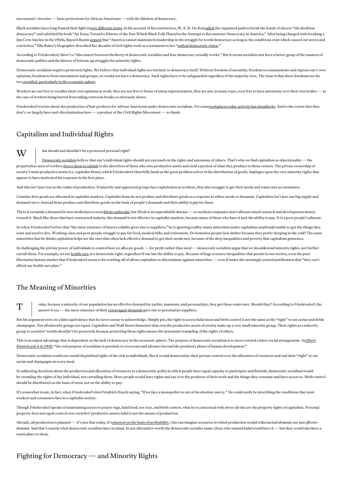movements' victories—basic protections for African Americans—with the dilution of democracy.

Black socialists have long framed their fight invery different terms. In his account of Reconstruction, W. E. B. Du Boi[scalled](https://books.google.com/books/about/Black_Reconstruction_in_America_1860_188.html?id=Nt5mglDCNHEC) the organized push to break the bonds of slavery "the abolition democracy" and subtitled his book "An Essay Toward a History of the Part Which Black Folk Played in the Attempt to Reconstruct Democracy in America." After being charged with breaking a Jim Crow bus law in the 1940s, Bayard Rustin [argued](https://books.google.com/books/about/Bayard_Rustin.html?id=9ix2AAAAMAAJ) that "America cannot maintain its leadership in the struggle for world democracy as long as the conditions exist which caused our arrest and conviction." Ella Baker's biographer described her decades of civil rights work as a testament to her "radical [democratic](https://www.uncpress.org/book/9780807856161/ella-baker-and-the-black-freedom-movement/) vision."

According to Friedersdorf, there's a "disconnect between the*theory* of democratic socialists and how democracy actually works." But it seems socialists just have a better grasp of the nuances of democratic politics and the history of bottom-up struggles for minority rights.

Democratic socialism requires protected rights. We believe that individual rights are intrinsic to democracy itself. Without freedom ofassembly, freedom to communicate and express one's own opinions, freedom to form associations and groups, we would not have a democracy. Such rights have to be safeguarded regardless of the majority view. The issue is that these freedoms are far too curtailed, [particularly](https://www.jacobinmag.com/2018/01/freedom-from-the-boss) in the economic sphere.

Workers are not free to vocalize their own opinions at work, they are not free to forms of union representation, they are not, in many ways, even free to have autonomy over their own bodies—as the case of workers being barred from taking restroom breaks so obviously shows.

Friedersdorf worries about the production of hair products for African Americans under democratic socialism. Yet som[eworkplaces](https://www.theatlantic.com/business/archive/2016/11/no-dreadlocks-allowed/506270/) today actively ban dreadlocks. And to the extent that they don't, we largely have anti-discrimination laws—a product of the Civil Rights Movement—to thank.

### Capitalism and Individual Rights

#### **X** hat should and shouldn't be a protected personal right?

[Democratic](https://www.jacobinmag.com/2018/08/democratic-socialism-social-democracy-nordic-countries) socialists believe that one's individual rights should not encroach on the rights and autonomy of others. That's why we find capitalism so objectionable—the propertyless-ness of workers forces them to [submit](https://jacobinmag.com/2018/07/right-to-strike-freedom-civil-liberties-oppression) to the directives of those who own productive assets and yield a portion of what they produce to those owners. The private ownership of society's main productive assets (i.e. capitalist firms), which Friedersdorf cheerfully lauds as the great problem solver in the distribution of goods, impinges upon the very minority rights that appear to have motivated his response in the first place.

And this isn't just true in the realm of production. If minority and oppressed groups face exploitation as workers, they also struggle to get their needs and wants met as consumers.

Consider how goods are allocated in capitalist markets. Capitalist firms do not produce and distribute goods as a response to either needs or demands. Capitalism isn't just one big supply and demand curve. Instead firms produce and distribute goods on the basis of people's demands and their *ability to pay* for them.

There is certainly a demand for new medicines to treat Ebola [outbreaks](https://www.jacobinmag.com/2014/08/the-political-economy-of-ebola/), but Ebola is an unprofitable disease — so medical companies don't allocate much research and development money toward it. Much like those that have contracted malaria, this demand is not effective in capitalist markets, because many of those who have it lack the ability to pay. It is a poor people's ailment.

So when Friedersdorf writes that "the mere existence of buyers reliably gives rise to suppliers," he is ignoring reality: many minorities under capitalism arealready unable to get the things they want and need to live. Working-class and poor people struggle to pay for food, medical bills, and retirement. Do homeless people lack shelter because they prefer sleeping in the cold? The same minorities that he thinks capitalism helps are the ones that often lack effective demand to get their needs met, because of the deep inequalities and poverty that capitalism generates.

In challenging the private power of individuals to control how we allocate goods—for profit rather than need—democratic socialists argue that we should*extend* minority rights, not further curtail them. For example, we see [health](https://www.jacobinmag.com/2018/07/medicare-for-all-mercatus-center-report) care as a democratic right, regardless if one has the ability to pay. Because of huge resource inequalities that persist in our society, even the pure libertarian fantasy market that Friedersdorf seems to be working off of allows capitalists to discriminate against minorities — even if under the seemingly neutral justification that "they can't afford our health care plan."

### The Meaning of Minorities

T oday, because a minority of our population has an effective demand for yachts, mansions, and personal jets, they get those wants met. Should they? According to Friedersdorf, the answer is yes — the mere existence of their [extravagant](https://www.jacobinmag.com/2015/06/rich-kids-of-instagram-berger-ways-of-seeing/) demands gave rise to personal jet suppliers.

But his argument rests on a false equivalency that he never seems to acknowledge. Simply put, the right to access halal meat and birth control is not the same as the "right" to eat caviar and drink champagne. Not all minority groups are equal. Capitalists and Wall Street financiers that own the productive assets of society make up a very small minority group. Their rights as a minority group to societies' wealth shouldn't be protected, because protecting those rights means the systematic trampling of the rights of others.

This is an unjust advantage that is dependent on the lack of democracy in the economic sphere. The purpose of democratic socialism is to move toward a fairer social arrangement. AsAlbert Einstein put it in 1949, "the real purpose of socialism is precisely to overcome and advance beyond the predatory phase of human [development."](https://monthlyreview.org/2009/05/01/why-socialism/)

Democratic socialism would not curtail the*political rights* of the rich as individuals. But it would democratize their private control over the allocation of resources and end their "right" to eat caviar and champagne at every meal.

In subjecting decisions about the production and allocation of resources to a democratic polity in which people have equal capacity to participate and flourish, democratic socialism would be *extending* the rights of the individual, not curtailing them. More people would have rights and say over the products of their work and the things they consume and have access to. Birth control should be distributed on the basis of need, not on the ability to pay.

It's somewhat ironic, in fact, when Friedersdorf cites Friedrich Hayek saying, "If we face a monopolist we are at his absolute mercy." He could easily be describing the conditions that most workers and consumers face in a capitalist society.

Though Friedersdorf speaks of maintaining access to prayer rugs, halal food, sex toys, and birth control, what he is concerned with above all else are the property rights of capitalists. Personal property does not equal control over societies' productive assets; halal is not the means of production.

Already, all production is planned—it's just that today, it'splanned on the basis of [profitability](https://jacobinmag.com/2016/11/finance-banks-capitalism-markets-socialism-planning). One can imagine scenarios in which production would reflect*actual demand*, not just *eective* demand. And that's exactly what democratic socialists have in mind. In any alternative worth the democratic socialist name, those who wanted halal would have it—but they would also have a warm place to sleep.

### Fighting for Democracy—and Minority Rights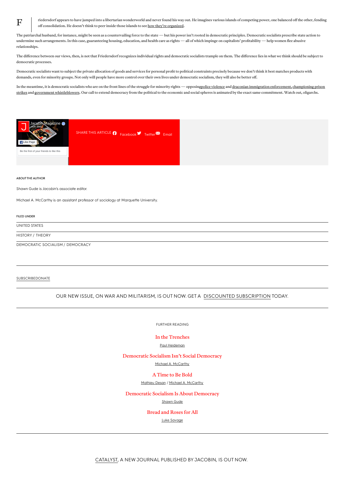riedersdorf appears to have jumped into a libertarian wonderworld and never found his way out. He imagines various islands of competing power, one balanced off the other, fending off consolidation. He doesn't think to peer inside those islands to see how they're [organized](https://www.jacobinmag.com/2013/02/wage-slavery-and-republican-liberty/).

The patriarchal husband, for instance, might be seen as a countervailing force to the state — but his power isn't rooted in democratic principles. Democratic socialists prescribe state action to undermine such arrangements. In this case, guaranteeing housing, education, and health care as rights — all of which impinge on capitalists' profitability — help women flee abusive relationships.

The difference between our views, then, is not that Friedersdorf recognizes individual rights and democratic socialists trample on them. The difference lies in what we think should be subject to democratic processes.

Democratic socialists want to subject the private allocation of goods and services for personal profit to political constraints precisely because we don't think it best matches products with demands, even for minority groups. Not only will people have more control over their own lives under democratic socialism, they will also be better off.

In the meantime, it is democratic socialists who are on the front lines of the struggle for minority rights — opposingpolice [violence](https://www.jacobinmag.com/2017/10/police-reform-prisons-racism-vitale) and draconian immigration [enforcement,](https://www.jacobinmag.com/2018/06/abolish-ice-immigration-cbp-deportation) championing prison strikes and government [whistleblowers](https://www.jacobinmag.com/2016/10/chelsea-manning-edward-snowden-poitras-citizenfour-greenwald/). Our call to extend democracy from the political to the economic and social spheres is animated by the exact same commitment. Watch out, oligarchs.





#### ABOUT THE AUTHOR

 $\mathbf F$ 

Shawn Gude is Jacobin's associate editor.

Michael A. McCarthy is an assistant professor of sociology at Marquette University.

#### FILED UNDER

[UNITED](https://www.jacobinmag.com/location/united-states) STATES

[HISTORY](https://www.jacobinmag.com/category/history) / [THEORY](https://www.jacobinmag.com/category/theory)

[DEMOCRATIC](https://www.jacobinmag.com/tag/democratic-socialism) SOCIALISM / [DEMOCRACY](https://www.jacobinmag.com/tag/democracy)

#### **[SUBSCRIBE](https://www.jacobinmag.com/subscribe)[DONATE](https://www.jacobinmag.com/donate)**

OUR NEW ISSUE, ON WAR AND MILITARISM, IS OUT NOW. GET A DISCOUNTED [SUBSCRIPTION](https://jacobinmag.com/subscribe/?code=WARISARACKET) TODAY.

FURTHER READING

#### In the [Trenches](https://www.jacobinmag.com/2018/08/sheri-berman-democratic-socialism-washington-post)

#### Paul [Heideman](https://www.jacobinmag.com/author/paul-heideman)

#### [Democratic](https://www.jacobinmag.com/2018/08/democratic-socialism-social-democracy-nordic-countries) Socialism Isn't Social Democracy

#### Michael A. [McCarthy](https://www.jacobinmag.com/author/michael-a-mccarthy)

#### A [Time](https://www.jacobinmag.com/2018/07/socialism-democrats-alexandria-ocasio-cortez) to Be Bold

#### [Mathieu](https://www.jacobinmag.com/author/mathieu-desan) Desan / Michael A. [McCarthy](https://www.jacobinmag.com/author/michael-a-mccarthy)

#### [Democratic](https://www.jacobinmag.com/2018/07/democratic-socialism-democracy-ocasio-cortez) Socialism Is About Democracy

#### [Shawn](https://www.jacobinmag.com/author/shawn-gude) Gude

#### [Bread](https://www.jacobinmag.com/2018/07/democratic-socialism-dsa-nixon-ocasio-cortez) and Roses for All

Luke [Savage](https://www.jacobinmag.com/author/luke-savage)